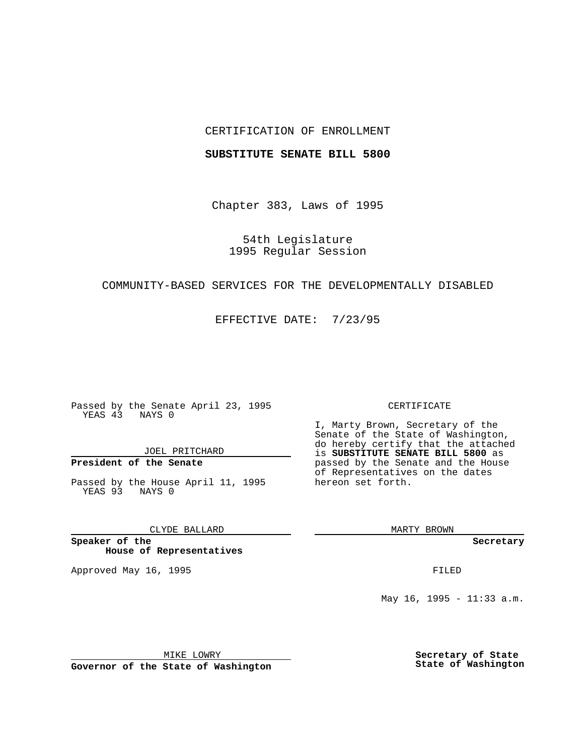## CERTIFICATION OF ENROLLMENT

### **SUBSTITUTE SENATE BILL 5800**

Chapter 383, Laws of 1995

54th Legislature 1995 Regular Session

## COMMUNITY-BASED SERVICES FOR THE DEVELOPMENTALLY DISABLED

EFFECTIVE DATE: 7/23/95

Passed by the Senate April 23, 1995 YEAS 43 NAYS 0

JOEL PRITCHARD

# **President of the Senate**

Passed by the House April 11, 1995 YEAS 93 NAYS 0

CLYDE BALLARD

**Speaker of the House of Representatives**

Approved May 16, 1995 FILED

#### CERTIFICATE

I, Marty Brown, Secretary of the Senate of the State of Washington, do hereby certify that the attached is **SUBSTITUTE SENATE BILL 5800** as passed by the Senate and the House of Representatives on the dates hereon set forth.

MARTY BROWN

**Secretary**

May 16, 1995 - 11:33 a.m.

MIKE LOWRY

**Governor of the State of Washington**

**Secretary of State State of Washington**